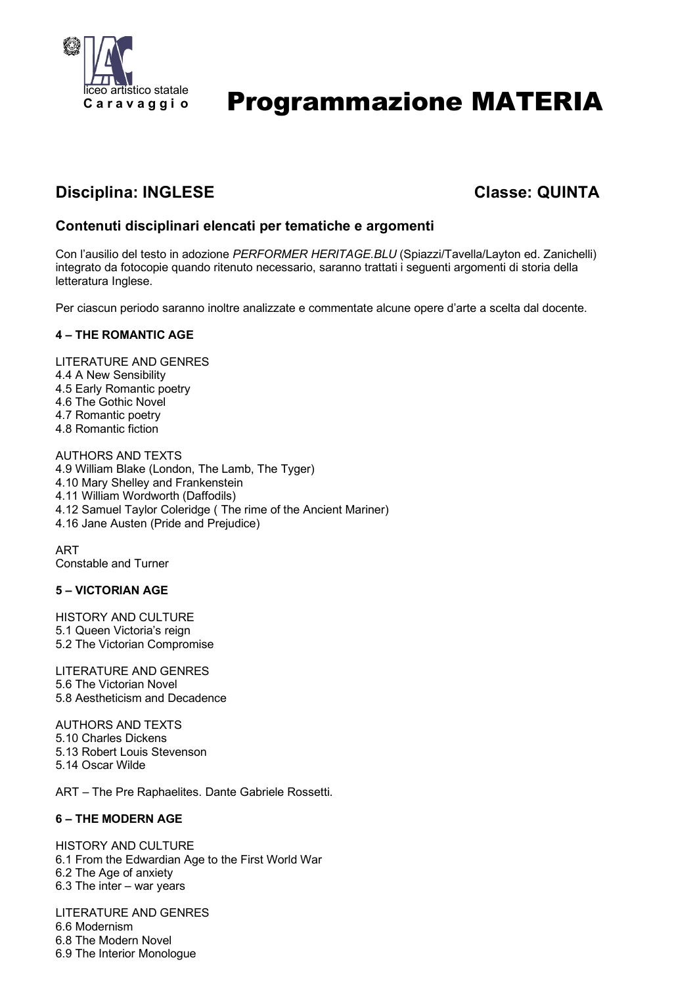

# Programmazione MATERIA

## **Disciplina: INGLESE Classe: QUINTA**

### **Contenuti disciplinari elencati per tematiche e argomenti**

Con l'ausilio del testo in adozione *PERFORMER HERITAGE.BLU* (Spiazzi/Tavella/Layton ed. Zanichelli) integrato da fotocopie quando ritenuto necessario, saranno trattati i seguenti argomenti di storia della letteratura Inglese.

Per ciascun periodo saranno inoltre analizzate e commentate alcune opere d'arte a scelta dal docente.

#### **4 – THE ROMANTIC AGE**

LITERATURE AND GENRES

- 4.4 A New Sensibility
- 4.5 Early Romantic poetry
- 4.6 The Gothic Novel
- 4.7 Romantic poetry
- 4.8 Romantic fiction

AUTHORS AND TEXTS 4.9 William Blake (London, The Lamb, The Tyger) 4.10 Mary Shelley and Frankenstein 4.11 William Wordworth (Daffodils) 4.12 Samuel Taylor Coleridge ( The rime of the Ancient Mariner) 4.16 Jane Austen (Pride and Prejudice)

ART Constable and Turner

#### **5 – VICTORIAN AGE**

HISTORY AND CULTURE 5.1 Queen Victoria's reign 5.2 The Victorian Compromise

LITERATURE AND GENRES 5.6 The Victorian Novel 5.8 Aestheticism and Decadence

AUTHORS AND TEXTS 5.10 Charles Dickens 5.13 Robert Louis Stevenson 5.14 Oscar Wilde

ART – The Pre Raphaelites. Dante Gabriele Rossetti.

#### **6 – THE MODERN AGE**

HISTORY AND CULTURE 6.1 From the Edwardian Age to the First World War 6.2 The Age of anxiety 6.3 The inter – war years

LITERATURE AND GENRES 6.6 Modernism 6.8 The Modern Novel 6.9 The Interior Monologue